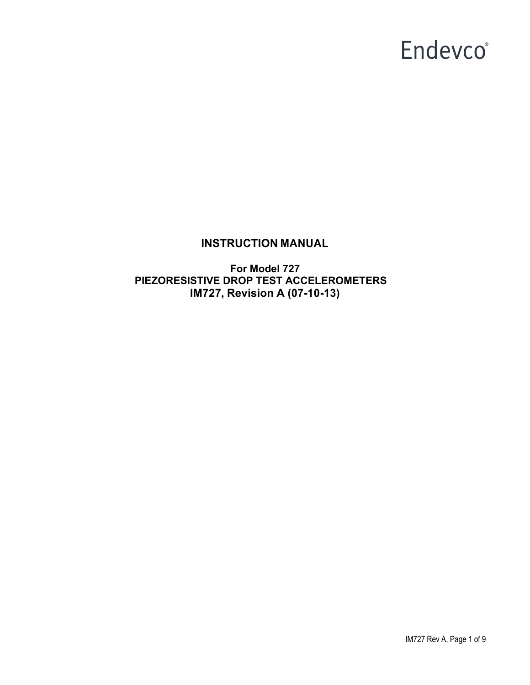## **INSTRUCTION MANUAL**

**For Model 727 PIEZORESISTIVE DROP TEST ACCELEROMETERS IM727, Revision A (07-10-13)**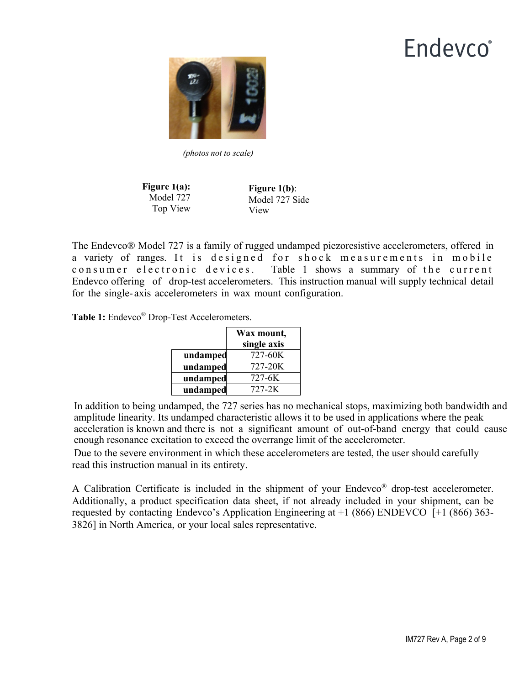

*(photos not to scale)*

**Figure 1(a):**  Model 727 Top View

**Figure 1(b)**: Model 727 Side View

The Endevco® Model 727 is a family of rugged undamped piezoresistive accelerometers, offered in a variety of ranges. It is designed for shock measurements in mobile consumer electronic devices. Table 1 shows a summary of the current Endevco offering of drop-test accelerometers. This instruction manual will supply technical detail for the single- axis accelerometers in wax mount configuration.

**Table 1:** Endevco® Drop-Test Accelerometers.

|          | Wax mount,<br>single axis |
|----------|---------------------------|
| undamped | 727-60K                   |
| undamped | 727-20K                   |
| undamped | 727-6K                    |
| undamped | 727-2K                    |

In addition to being undamped, the 727 series has no mechanical stops, maximizing both bandwidth and amplitude linearity. Its undamped characteristic allows it to be used in applications where the peak acceleration is known and there is not a significant amount of out-of-band energy that could cause enough resonance excitation to exceed the overrange limit of the accelerometer.

Due to the severe environment in which these accelerometers are tested, the user should carefully read this instruction manual in its entirety.

A Calibration Certificate is included in the shipment of your Endevco® drop-test accelerometer. Additionally, a product specification data sheet, if not already included in your shipment, can be requested by contacting Endevco's Application Engineering at +1 (866) ENDEVCO [+1 (866) 363- 3826] in North America, or your local sales representative.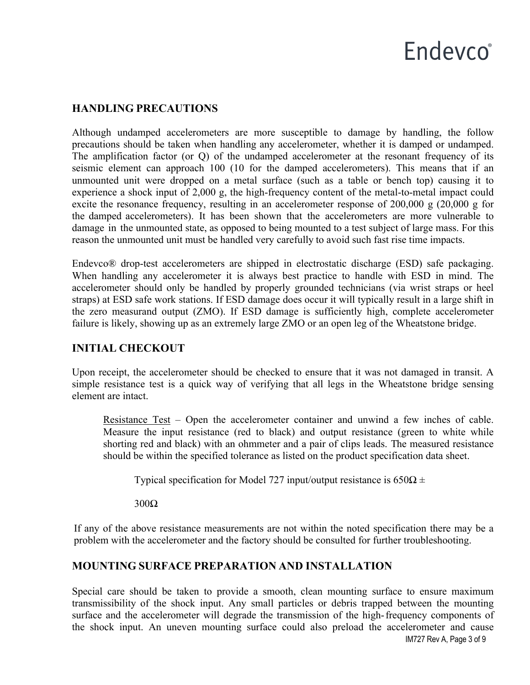# **Endevco**<sup>®</sup>

## **HANDLING PRECAUTIONS**

Although undamped accelerometers are more susceptible to damage by handling, the follow precautions should be taken when handling any accelerometer, whether it is damped or undamped. The amplification factor (or Q) of the undamped accelerometer at the resonant frequency of its seismic element can approach 100 (10 for the damped accelerometers). This means that if an unmounted unit were dropped on a metal surface (such as a table or bench top) causing it to experience a shock input of 2,000 g, the high-frequency content of the metal-to-metal impact could excite the resonance frequency, resulting in an accelerometer response of 200,000 g (20,000 g for the damped accelerometers). It has been shown that the accelerometers are more vulnerable to damage in the unmounted state, as opposed to being mounted to a test subject of large mass. For this reason the unmounted unit must be handled very carefully to avoid such fast rise time impacts.

Endevco® drop-test accelerometers are shipped in electrostatic discharge (ESD) safe packaging. When handling any accelerometer it is always best practice to handle with ESD in mind. The accelerometer should only be handled by properly grounded technicians (via wrist straps or heel straps) at ESD safe work stations. If ESD damage does occur it will typically result in a large shift in the zero measurand output (ZMO). If ESD damage is sufficiently high, complete accelerometer failure is likely, showing up as an extremely large ZMO or an open leg of the Wheatstone bridge.

## **INITIAL CHECKOUT**

Upon receipt, the accelerometer should be checked to ensure that it was not damaged in transit. A simple resistance test is a quick way of verifying that all legs in the Wheatstone bridge sensing element are intact.

Resistance Test – Open the accelerometer container and unwind a few inches of cable. Measure the input resistance (red to black) and output resistance (green to white while shorting red and black) with an ohmmeter and a pair of clips leads. The measured resistance should be within the specified tolerance as listed on the product specification data sheet.

Typical specification for Model 727 input/output resistance is  $650\Omega \pm$ 

300Ω

If any of the above resistance measurements are not within the noted specification there may be a problem with the accelerometer and the factory should be consulted for further troubleshooting.

## **MOUNTING SURFACE PREPARATION AND INSTALLATION**

IM727 Rev A, Page 3 of 9 Special care should be taken to provide a smooth, clean mounting surface to ensure maximum transmissibility of the shock input. Any small particles or debris trapped between the mounting surface and the accelerometer will degrade the transmission of the high-frequency components of the shock input. An uneven mounting surface could also preload the accelerometer and cause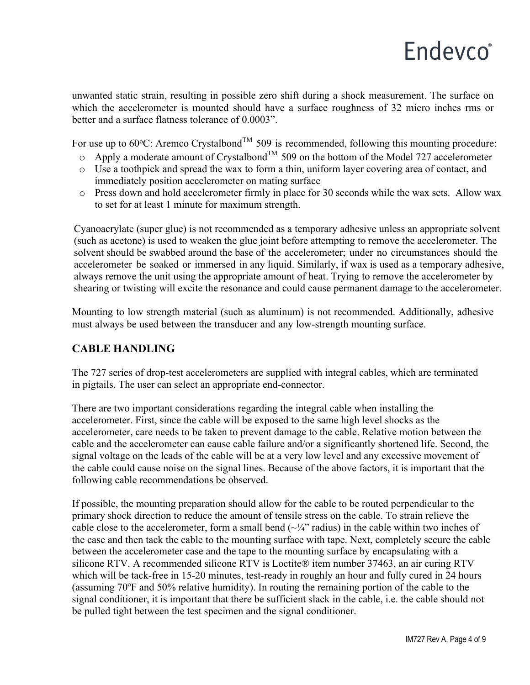# **Endevco**<sup>®</sup>

unwanted static strain, resulting in possible zero shift during a shock measurement. The surface on which the accelerometer is mounted should have a surface roughness of 32 micro inches rms or better and a surface flatness tolerance of 0.0003".

For use up to 60 °C: Aremco Crystalbond<sup>TM</sup> 509 is recommended, following this mounting procedure:

- $\circ$  Apply a moderate amount of Crystalbond<sup>TM</sup> 509 on the bottom of the Model 727 accelerometer
- o Use a toothpick and spread the wax to form a thin, uniform layer covering area of contact, and immediately position accelerometer on mating surface
- o Press down and hold accelerometer firmly in place for 30 seconds while the wax sets. Allow wax to set for at least 1 minute for maximum strength.

Cyanoacrylate (super glue) is not recommended as a temporary adhesive unless an appropriate solvent (such as acetone) is used to weaken the glue joint before attempting to remove the accelerometer. The solvent should be swabbed around the base of the accelerometer; under no circumstances should the accelerometer be soaked or immersed in any liquid. Similarly, if wax is used as a temporary adhesive, always remove the unit using the appropriate amount of heat. Trying to remove the accelerometer by shearing or twisting will excite the resonance and could cause permanent damage to the accelerometer.

Mounting to low strength material (such as aluminum) is not recommended. Additionally, adhesive must always be used between the transducer and any low-strength mounting surface.

## **CABLE HANDLING**

The 727 series of drop-test accelerometers are supplied with integral cables, which are terminated in pigtails. The user can select an appropriate end-connector.

There are two important considerations regarding the integral cable when installing the accelerometer. First, since the cable will be exposed to the same high level shocks as the accelerometer, care needs to be taken to prevent damage to the cable. Relative motion between the cable and the accelerometer can cause cable failure and/or a significantly shortened life. Second, the signal voltage on the leads of the cable will be at a very low level and any excessive movement of the cable could cause noise on the signal lines. Because of the above factors, it is important that the following cable recommendations be observed.

If possible, the mounting preparation should allow for the cable to be routed perpendicular to the primary shock direction to reduce the amount of tensile stress on the cable. To strain relieve the cable close to the accelerometer, form a small bend  $(\sim\frac{1}{4}$ " radius) in the cable within two inches of the case and then tack the cable to the mounting surface with tape. Next, completely secure the cable between the accelerometer case and the tape to the mounting surface by encapsulating with a silicone RTV. A recommended silicone RTV is Loctite® item number 37463, an air curing RTV which will be tack-free in 15-20 minutes, test-ready in roughly an hour and fully cured in 24 hours (assuming 70ºF and 50% relative humidity). In routing the remaining portion of the cable to the signal conditioner, it is important that there be sufficient slack in the cable, i.e. the cable should not be pulled tight between the test specimen and the signal conditioner.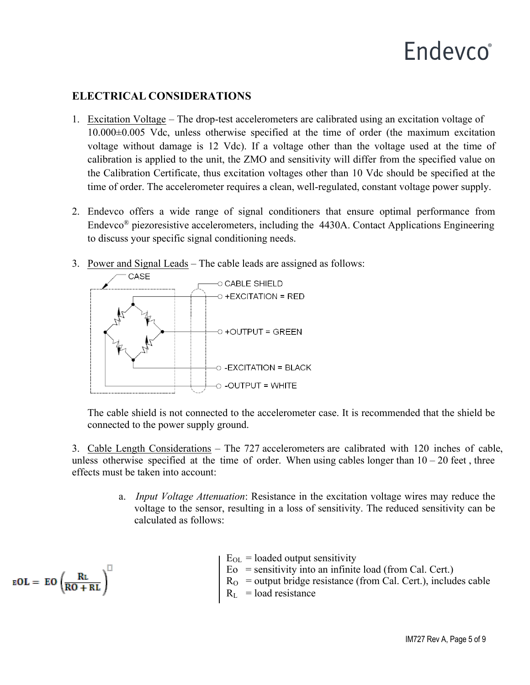## **ELECTRICAL CONSIDERATIONS**

- 1. Excitation Voltage The drop-test accelerometers are calibrated using an excitation voltage of 10.000±0.005 Vdc, unless otherwise specified at the time of order (the maximum excitation voltage without damage is 12 Vdc). If a voltage other than the voltage used at the time of calibration is applied to the unit, the ZMO and sensitivity will differ from the specified value on the Calibration Certificate, thus excitation voltages other than 10 Vdc should be specified at the time of order. The accelerometer requires a clean, well-regulated, constant voltage power supply.
- 2. Endevco offers a wide range of signal conditioners that ensure optimal performance from Endevco® piezoresistive accelerometers, including the 4430A. Contact Applications Engineering to discuss your specific signal conditioning needs.
- 3. Power and Signal Leads The cable leads are assigned as follows:



The cable shield is not connected to the accelerometer case. It is recommended that the shield be connected to the power supply ground.

3. Cable Length Considerations – The 727 accelerometers are calibrated with 120 inches of cable, unless otherwise specified at the time of order. When using cables longer than  $10 - 20$  feet, three effects must be taken into account:

> a. *Input Voltage Attenuation*: Resistance in the excitation voltage wires may reduce the voltage to the sensor, resulting in a loss of sensitivity. The reduced sensitivity can be calculated as follows:

> > $E_{OL}$  = loaded output sensitivity  $E_0$  = sensitivity into an infinite load (from Cal. Cert.)  $R<sub>O</sub>$  = output bridge resistance (from Cal. Cert.), includes cable  $R_L$  = load resistance

$$
\text{eOL} = \text{EO}\left(\frac{R_L}{R O + R L}\right)^\square
$$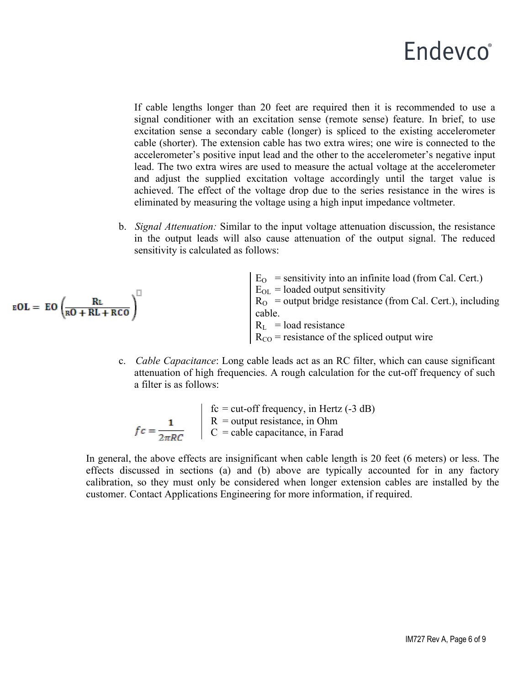If cable lengths longer than 20 feet are required then it is recommended to use a signal conditioner with an excitation sense (remote sense) feature. In brief, to use excitation sense a secondary cable (longer) is spliced to the existing accelerometer cable (shorter). The extension cable has two extra wires; one wire is connected to the accelerometer's positive input lead and the other to the accelerometer's negative input lead. The two extra wires are used to measure the actual voltage at the accelerometer and adjust the supplied excitation voltage accordingly until the target value is achieved. The effect of the voltage drop due to the series resistance in the wires is eliminated by measuring the voltage using a high input impedance voltmeter.

b. *Signal Attenuation:* Similar to the input voltage attenuation discussion, the resistance in the output leads will also cause attenuation of the output signal. The reduced sensitivity is calculated as follows:

$$
\text{EOL} = \text{EO}\left(\frac{R\text{L}}{\text{RO} + R\text{L} + R\text{CO}}\right)^{\square}
$$

 $E<sub>O</sub>$  = sensitivity into an infinite load (from Cal. Cert.)  $E_{OL}$  = loaded output sensitivity  $R_{\text{O}}$  = output bridge resistance (from Cal. Cert.), including cable.  $R_L$  = load resistance  $R_{CO}$  = resistance of the spliced output wire

c. *Cable Capacitance*: Long cable leads act as an RC filter, which can cause significant attenuation of high frequencies. A rough calculation for the cut-off frequency of such a filter is as follows:

$$
fc = \frac{1}{2\pi RC}
$$
\n
$$
\begin{array}{|l|l|}\n\hline\n\text{fc} = \text{cut-off frequency, in Hertz (-3 dB)} \\
\hline\nR = \text{output resistance, in Ohm} \\
C = \text{cable capacitance, in Farad}\n\end{array}
$$

In general, the above effects are insignificant when cable length is 20 feet (6 meters) or less. The effects discussed in sections (a) and (b) above are typically accounted for in any factory calibration, so they must only be considered when longer extension cables are installed by the customer. Contact Applications Engineering for more information, if required.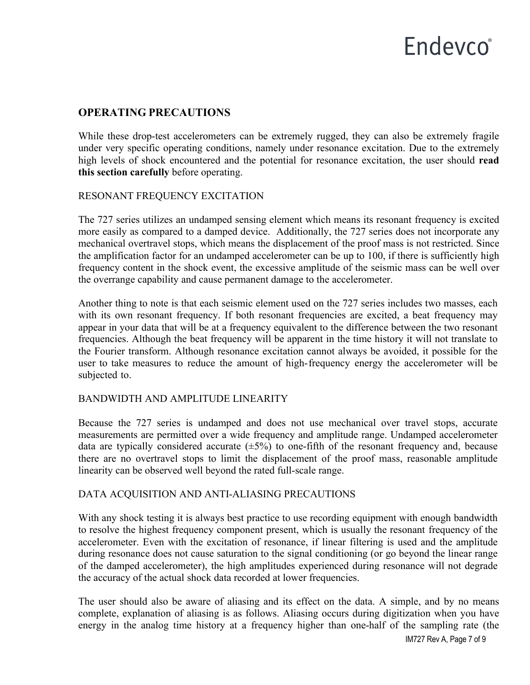# Endevco<sup>®</sup>

### **OPERATING PRECAUTIONS**

While these drop-test accelerometers can be extremely rugged, they can also be extremely fragile under very specific operating conditions, namely under resonance excitation. Due to the extremely high levels of shock encountered and the potential for resonance excitation, the user should **read this section carefully** before operating.

### RESONANT FREQUENCY EXCITATION

The 727 series utilizes an undamped sensing element which means its resonant frequency is excited more easily as compared to a damped device. Additionally, the 727 series does not incorporate any mechanical overtravel stops, which means the displacement of the proof mass is not restricted. Since the amplification factor for an undamped accelerometer can be up to 100, if there is sufficiently high frequency content in the shock event, the excessive amplitude of the seismic mass can be well over the overrange capability and cause permanent damage to the accelerometer.

Another thing to note is that each seismic element used on the 727 series includes two masses, each with its own resonant frequency. If both resonant frequencies are excited, a beat frequency may appear in your data that will be at a frequency equivalent to the difference between the two resonant frequencies. Although the beat frequency will be apparent in the time history it will not translate to the Fourier transform. Although resonance excitation cannot always be avoided, it possible for the user to take measures to reduce the amount of high-frequency energy the accelerometer will be subjected to.

### BANDWIDTH AND AMPLITUDE LINEARITY

Because the 727 series is undamped and does not use mechanical over travel stops, accurate measurements are permitted over a wide frequency and amplitude range. Undamped accelerometer data are typically considered accurate  $(\pm 5\%)$  to one-fifth of the resonant frequency and, because there are no overtravel stops to limit the displacement of the proof mass, reasonable amplitude linearity can be observed well beyond the rated full-scale range.

### DATA ACQUISITION AND ANTI-ALIASING PRECAUTIONS

With any shock testing it is always best practice to use recording equipment with enough bandwidth to resolve the highest frequency component present, which is usually the resonant frequency of the accelerometer. Even with the excitation of resonance, if linear filtering is used and the amplitude during resonance does not cause saturation to the signal conditioning (or go beyond the linear range of the damped accelerometer), the high amplitudes experienced during resonance will not degrade the accuracy of the actual shock data recorded at lower frequencies.

The user should also be aware of aliasing and its effect on the data. A simple, and by no means complete, explanation of aliasing is as follows. Aliasing occurs during digitization when you have energy in the analog time history at a frequency higher than one-half of the sampling rate (the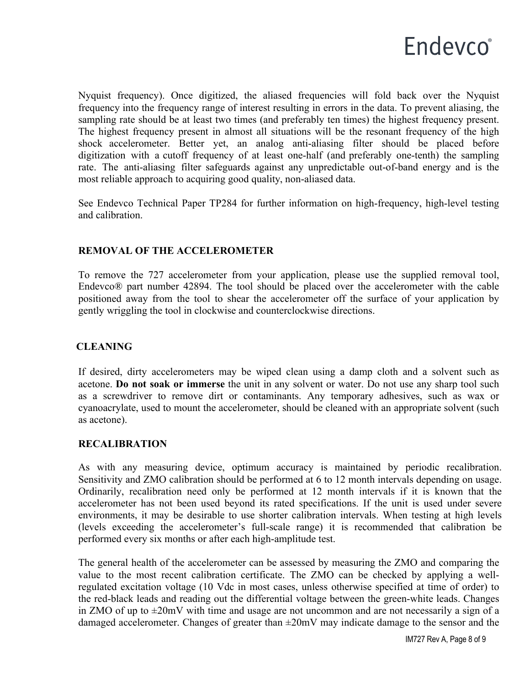

Nyquist frequency). Once digitized, the aliased frequencies will fold back over the Nyquist frequency into the frequency range of interest resulting in errors in the data. To prevent aliasing, the sampling rate should be at least two times (and preferably ten times) the highest frequency present. The highest frequency present in almost all situations will be the resonant frequency of the high shock accelerometer. Better yet, an analog anti-aliasing filter should be placed before digitization with a cutoff frequency of at least one-half (and preferably one-tenth) the sampling rate. The anti-aliasing filter safeguards against any unpredictable out-of-band energy and is the most reliable approach to acquiring good quality, non-aliased data.

See Endevco Technical Paper TP284 for further information on high-frequency, high-level testing and calibration.

### **REMOVAL OF THE ACCELEROMETER**

To remove the 727 accelerometer from your application, please use the supplied removal tool, Endevco® part number 42894. The tool should be placed over the accelerometer with the cable positioned away from the tool to shear the accelerometer off the surface of your application by gently wriggling the tool in clockwise and counterclockwise directions.

### **CLEANING**

If desired, dirty accelerometers may be wiped clean using a damp cloth and a solvent such as acetone. **Do not soak or immerse** the unit in any solvent or water. Do not use any sharp tool such as a screwdriver to remove dirt or contaminants. Any temporary adhesives, such as wax or cyanoacrylate, used to mount the accelerometer, should be cleaned with an appropriate solvent (such as acetone).

### **RECALIBRATION**

As with any measuring device, optimum accuracy is maintained by periodic recalibration. Sensitivity and ZMO calibration should be performed at 6 to 12 month intervals depending on usage. Ordinarily, recalibration need only be performed at 12 month intervals if it is known that the accelerometer has not been used beyond its rated specifications. If the unit is used under severe environments, it may be desirable to use shorter calibration intervals. When testing at high levels (levels exceeding the accelerometer's full-scale range) it is recommended that calibration be performed every six months or after each high-amplitude test.

The general health of the accelerometer can be assessed by measuring the ZMO and comparing the value to the most recent calibration certificate. The ZMO can be checked by applying a wellregulated excitation voltage (10 Vdc in most cases, unless otherwise specified at time of order) to the red-black leads and reading out the differential voltage between the green-white leads. Changes in ZMO of up to  $\pm 20$ mV with time and usage are not uncommon and are not necessarily a sign of a damaged accelerometer. Changes of greater than  $\pm 20$ mV may indicate damage to the sensor and the